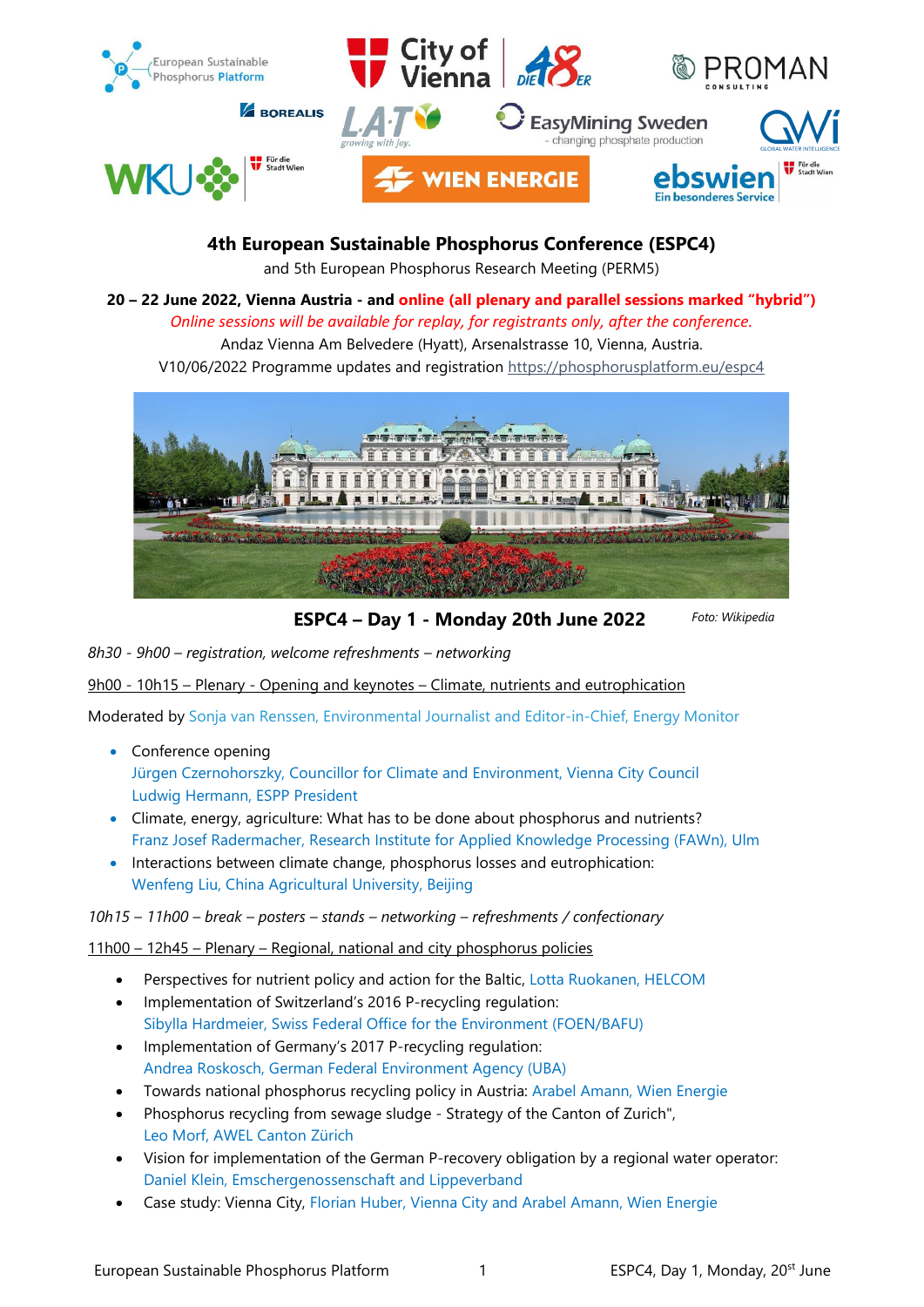

# **4th European Sustainable Phosphorus Conference (ESPC4)**

and 5th European Phosphorus Research Meeting (PERM5)

**20 – 22 June 2022, Vienna Austria - and online (all plenary and parallel sessions marked "hybrid")** *Online sessions will be available for replay, for registrants only, after the conference.*

Andaz Vienna Am Belvedere (Hyatt), Arsenalstrasse 10, Vienna, Austria.

V10/06/2022 Programme updates and registration<https://phosphorusplatform.eu/espc4>



 **ESPC4 – Day 1 - Monday 20th June 2022**

*Foto: Wikipedia*

*8h30 - 9h00 – registration, welcome refreshments – networking*

9h00 - 10h15 – Plenary - Opening and keynotes – Climate, nutrients and eutrophication

Moderated by Sonja van Renssen, Environmental Journalist and Editor-in-Chief, Energy Monitor

- Conference opening Jürgen Czernohorszky, Councillor for Climate and Environment, Vienna City Council Ludwig Hermann, ESPP President
- Climate, energy, agriculture: What has to be done about phosphorus and nutrients? Franz Josef Radermacher, Research Institute for Applied Knowledge Processing (FAWn), Ulm
- Interactions between climate change, phosphorus losses and eutrophication: Wenfeng Liu, China Agricultural University, Beijing

*10h15 – 11h00 – break – posters – stands – networking – refreshments / confectionary*

11h00 – 12h45 – Plenary – Regional, national and city phosphorus policies

- Perspectives for nutrient policy and action for the Baltic, Lotta Ruokanen, HELCOM
- Implementation of Switzerland's 2016 P-recycling regulation: Sibylla Hardmeier, Swiss Federal Office for the Environment (FOEN/BAFU)
- Implementation of Germany's 2017 P-recycling regulation: Andrea Roskosch, German Federal Environment Agency (UBA)
- Towards national phosphorus recycling policy in Austria: Arabel Amann, Wien Energie
- Phosphorus recycling from sewage sludge Strategy of the Canton of Zurich", Leo Morf, AWEL Canton Zürich
- Vision for implementation of the German P-recovery obligation by a regional water operator: Daniel Klein, Emschergenossenschaft and Lippeverband
- Case study: Vienna City, Florian Huber, Vienna City and Arabel Amann, Wien Energie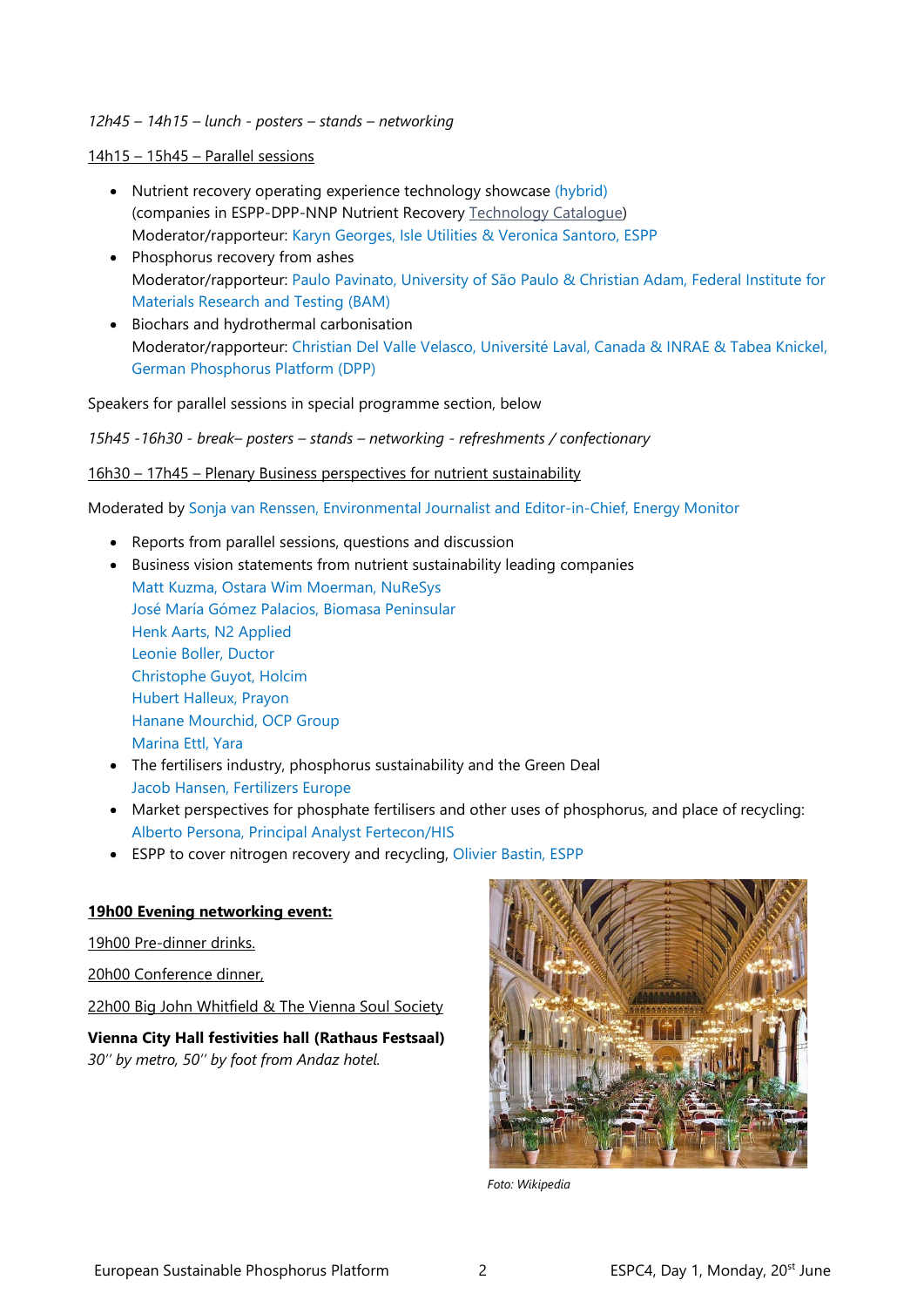#### *12h45 – 14h15 – lunch - posters – stands – networking*

14h15 – 15h45 – Parallel sessions

- Nutrient recovery operating experience technology showcase (hybrid) (companies in ESPP-DPP-NNP Nutrient Recovery [Technology Catalogue\)](https://phosphorusplatform.eu/activities/p-recovery-technology-inventory) Moderator/rapporteur: Karyn Georges, Isle Utilities & Veronica Santoro, ESPP
- Phosphorus recovery from ashes Moderator/rapporteur: Paulo Pavinato, University of São Paulo & Christian Adam, Federal Institute for Materials Research and Testing (BAM)
- Biochars and hydrothermal carbonisation Moderator/rapporteur: Christian Del Valle Velasco, Université Laval, Canada & INRAE & Tabea Knickel, German Phosphorus Platform (DPP)

Speakers for parallel sessions in special programme section, below

*15h45 -16h30 - break– posters – stands – networking - refreshments / confectionary*

16h30 – 17h45 – Plenary Business perspectives for nutrient sustainability

Moderated by Sonja van Renssen, Environmental Journalist and Editor-in-Chief, Energy Monitor

- Reports from parallel sessions, questions and discussion
- Business vision statements from nutrient sustainability leading companies Matt Kuzma, Ostara Wim Moerman, NuReSys José María Gómez Palacios, Biomasa Peninsular Henk Aarts, N2 Applied Leonie Boller, Ductor Christophe Guyot, Holcim Hubert Halleux, Prayon Hanane Mourchid, OCP Group Marina Ettl, Yara
- The fertilisers industry, phosphorus sustainability and the Green Deal Jacob Hansen, Fertilizers Europe
- Market perspectives for phosphate fertilisers and other uses of phosphorus, and place of recycling: Alberto Persona, Principal Analyst Fertecon/HIS
- ESPP to cover nitrogen recovery and recycling, Olivier Bastin, ESPP

## **19h00 Evening networking event:**

19h00 Pre-dinner drinks.

20h00 Conference dinner,

22h00 Big John Whitfield & The Vienna Soul Society

**Vienna City Hall festivities hall (Rathaus Festsaal)** *30'' by metro, 50'' by foot from Andaz hotel.*



 *Foto: Wikipedia*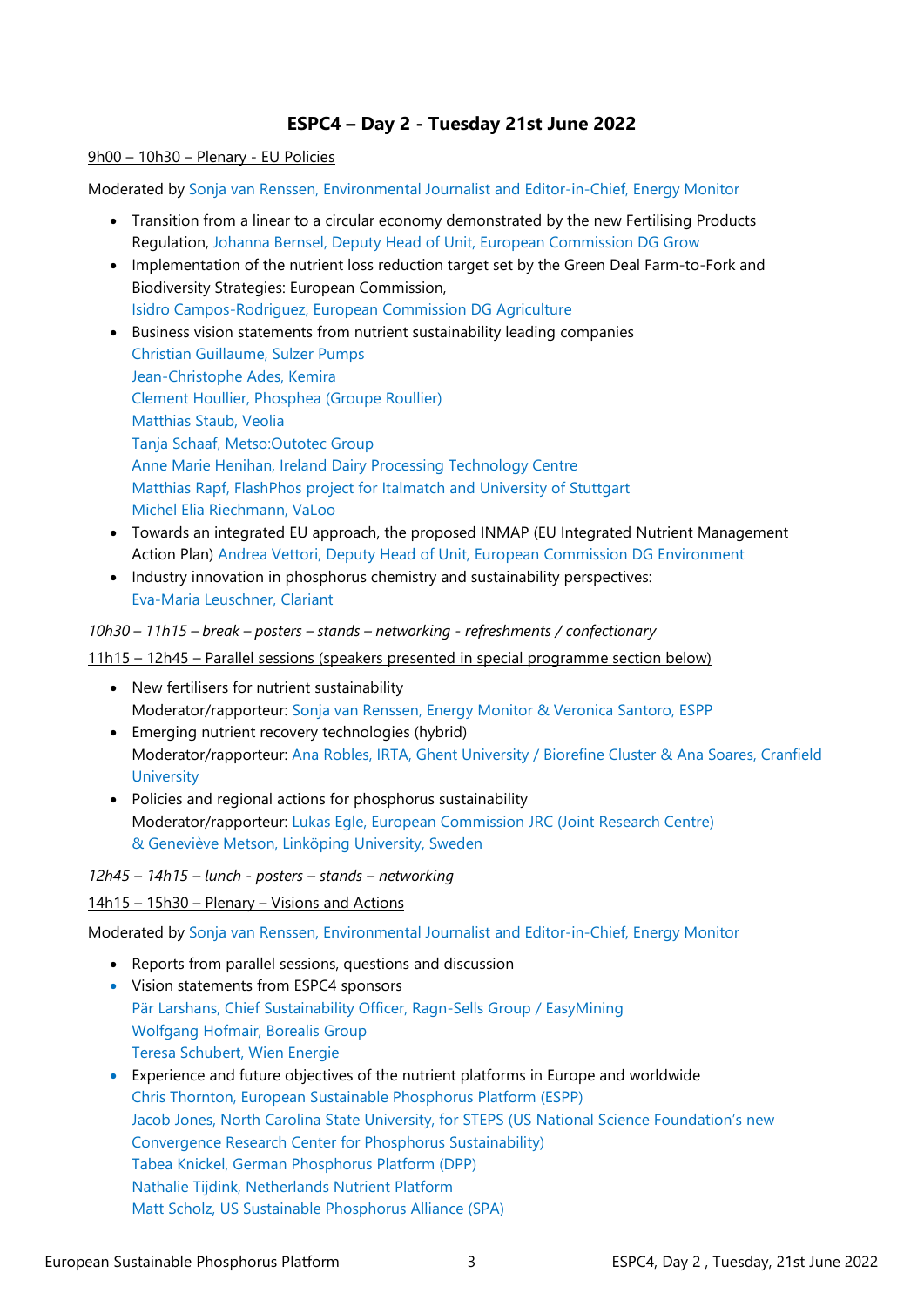# **ESPC4 – Day 2 - Tuesday 21st June 2022**

#### 9h00 – 10h30 – Plenary - EU Policies

Moderated by Sonja van Renssen, Environmental Journalist and Editor-in-Chief, Energy Monitor

- Transition from a linear to a circular economy demonstrated by the new Fertilising Products Regulation, Johanna Bernsel, Deputy Head of Unit, European Commission DG Grow
- Implementation of the nutrient loss reduction target set by the Green Deal Farm-to-Fork and Biodiversity Strategies: European Commission, Isidro Campos-Rodriguez, European Commission DG Agriculture
- Business vision statements from nutrient sustainability leading companies Christian Guillaume, Sulzer Pumps Jean-Christophe Ades, Kemira Clement Houllier, Phosphea (Groupe Roullier) Matthias Staub, Veolia Tanja Schaaf, Metso:Outotec Group Anne Marie Henihan, Ireland Dairy Processing Technology Centre Matthias Rapf, FlashPhos project for Italmatch and University of Stuttgart Michel Elia Riechmann, VaLoo
- Towards an integrated EU approach, the proposed INMAP (EU Integrated Nutrient Management Action Plan) Andrea Vettori, Deputy Head of Unit, European Commission DG Environment
- Industry innovation in phosphorus chemistry and sustainability perspectives: Eva-Maria Leuschner, Clariant

*10h30 – 11h15 – break – posters – stands – networking - refreshments / confectionary*

#### 11h15 – 12h45 – Parallel sessions (speakers presented in special programme section below)

- New fertilisers for nutrient sustainability Moderator/rapporteur: Sonja van Renssen, Energy Monitor & Veronica Santoro, ESPP
- Emerging nutrient recovery technologies (hybrid) Moderator/rapporteur: Ana Robles, IRTA, Ghent University / Biorefine Cluster & Ana Soares, Cranfield **University**
- Policies and regional actions for phosphorus sustainability Moderator/rapporteur: Lukas Egle, European Commission JRC (Joint Research Centre) & Geneviève Metson, Linköping University, Sweden

*12h45 – 14h15 – lunch - posters – stands – networking*

14h15 – 15h30 – Plenary – Visions and Actions

Moderated by Sonja van Renssen, Environmental Journalist and Editor-in-Chief, Energy Monitor

- Reports from parallel sessions, questions and discussion
- Vision statements from ESPC4 sponsors Pär Larshans, Chief Sustainability Officer, Ragn-Sells Group / EasyMining Wolfgang Hofmair, Borealis Group Teresa Schubert, Wien Energie
- Experience and future objectives of the nutrient platforms in Europe and worldwide Chris Thornton, European Sustainable Phosphorus Platform (ESPP) Jacob Jones, North Carolina State University, for STEPS (US National Science Foundation's new Convergence Research Center for Phosphorus Sustainability) Tabea Knickel, German Phosphorus Platform (DPP) Nathalie Tijdink, Netherlands Nutrient Platform Matt Scholz, US Sustainable Phosphorus Alliance (SPA)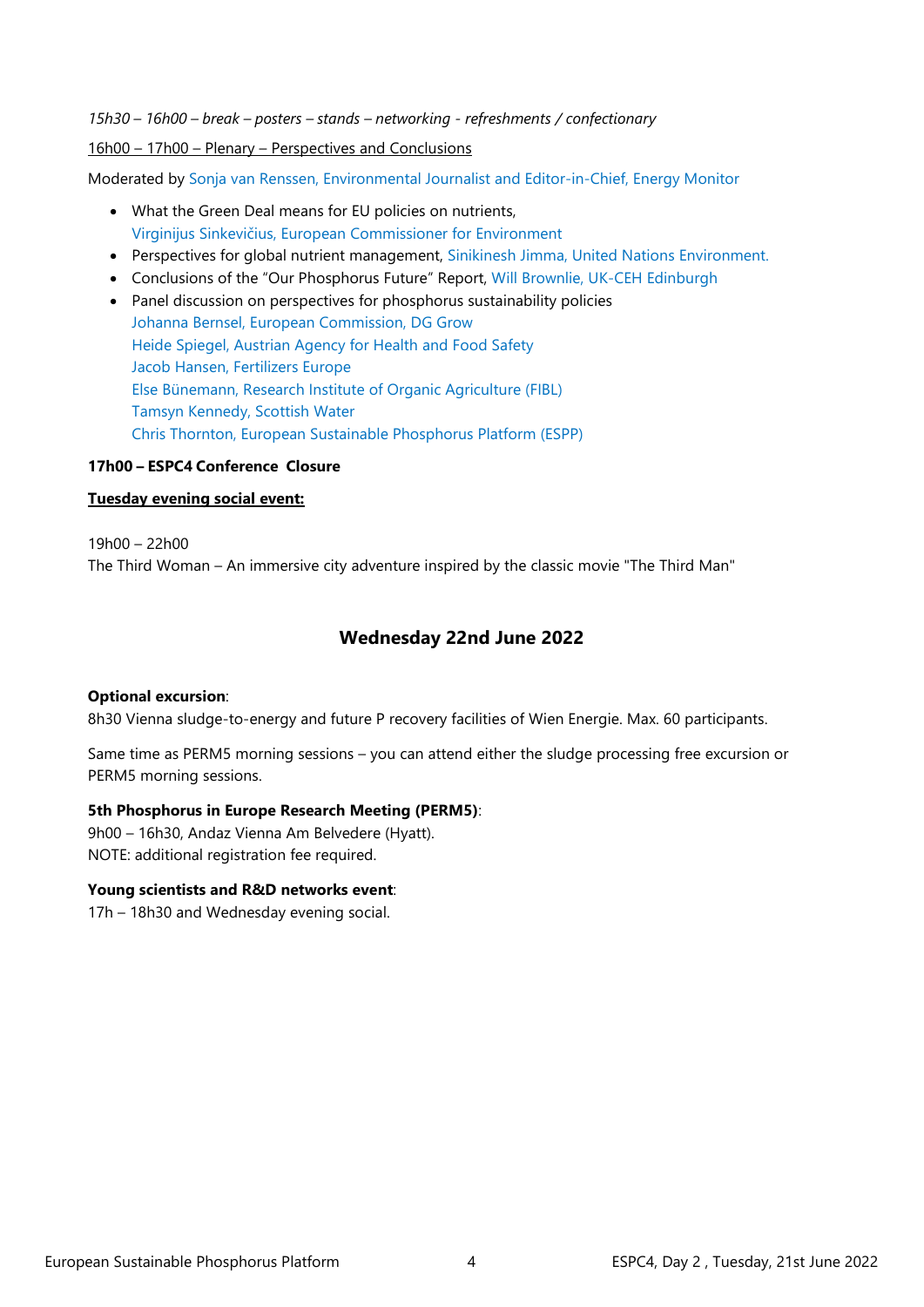*15h30 – 16h00 – break – posters – stands – networking - refreshments / confectionary*

16h00 – 17h00 – Plenary – Perspectives and Conclusions

Moderated by Sonja van Renssen, Environmental Journalist and Editor-in-Chief, Energy Monitor

- What the Green Deal means for EU policies on nutrients, Virginijus Sinkevičius, European Commissioner for Environment
- Perspectives for global nutrient management, Sinikinesh Jimma, United Nations Environment.
- Conclusions of the "Our Phosphorus Future" Report, Will Brownlie, UK-CEH Edinburgh
- Panel discussion on perspectives for phosphorus sustainability policies Johanna Bernsel, European Commission, DG Grow Heide Spiegel, Austrian Agency for Health and Food Safety Jacob Hansen, Fertilizers Europe Else Bünemann, Research Institute of Organic Agriculture (FIBL) Tamsyn Kennedy, Scottish Water Chris Thornton, European Sustainable Phosphorus Platform (ESPP)

#### **17h00 – ESPC4 Conference Closure**

## **Tuesday evening social event:**

19h00 – 22h00 The Third Woman – An immersive city adventure inspired by the classic movie "The Third Man"

## **Wednesday 22nd June 2022**

#### **Optional excursion**:

8h30 Vienna sludge-to-energy and future P recovery facilities of Wien Energie. Max. 60 participants.

Same time as PERM5 morning sessions – you can attend either the sludge processing free excursion or PERM5 morning sessions.

#### **5th Phosphorus in Europe Research Meeting (PERM5)**:

9h00 – 16h30, Andaz Vienna Am Belvedere (Hyatt). NOTE: additional registration fee required.

#### **Young scientists and R&D networks event**:

17h – 18h30 and Wednesday evening social.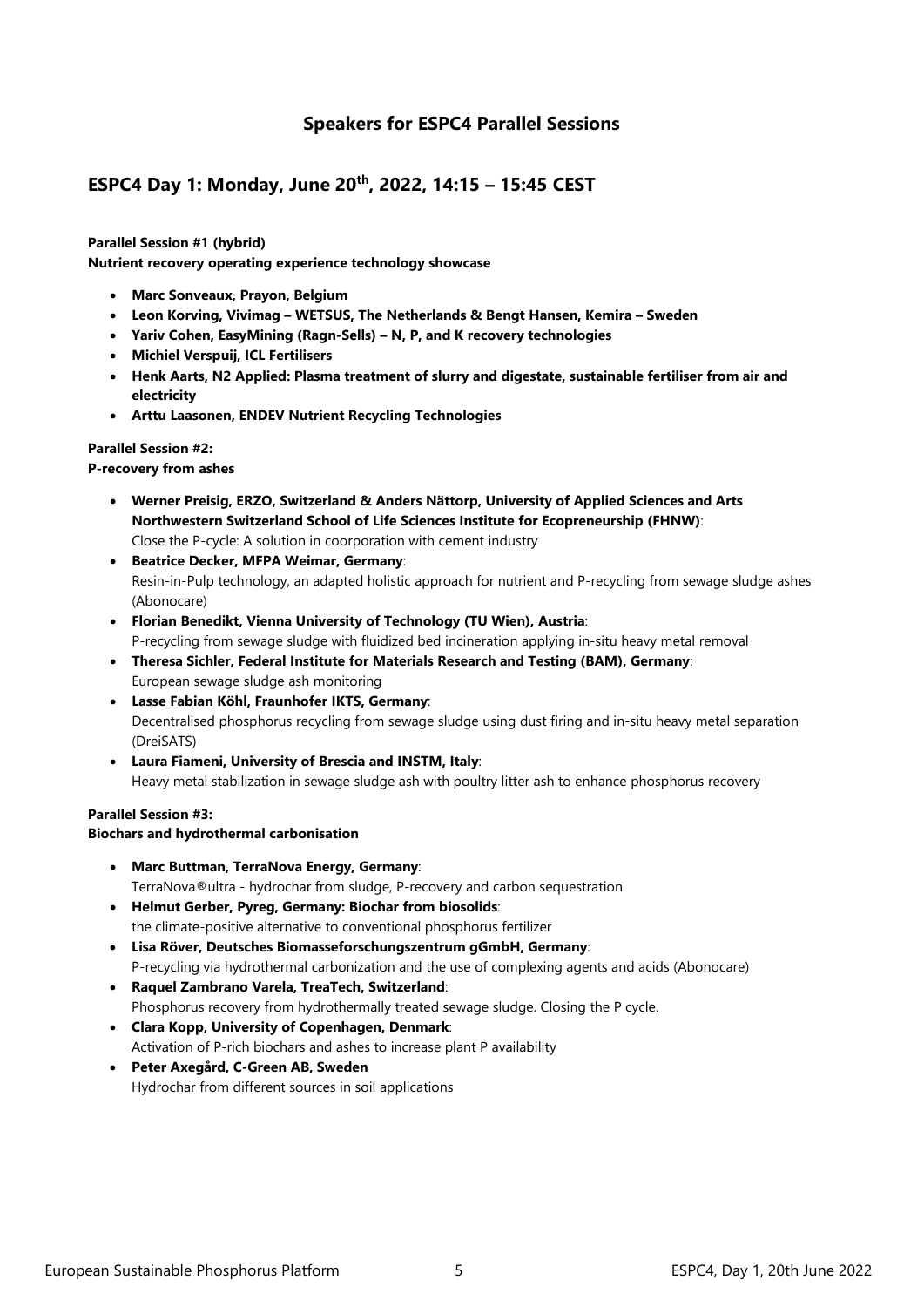## **Speakers for ESPC4 Parallel Sessions**

# **ESPC4 Day 1: Monday, June 20th, 2022, 14:15 – 15:45 CEST**

**Parallel Session #1 (hybrid) Nutrient recovery operating experience technology showcase**

- **Marc Sonveaux, Prayon, Belgium**
- **Leon Korving, Vivimag – WETSUS, The Netherlands & Bengt Hansen, Kemira – Sweden**
- **Yariv Cohen, EasyMining (Ragn-Sells) – N, P, and K recovery technologies**
- **Michiel Verspuij, ICL Fertilisers**
- **Henk Aarts, N2 Applied: Plasma treatment of slurry and digestate, sustainable fertiliser from air and electricity**
- **Arttu Laasonen, ENDEV Nutrient Recycling Technologies**

#### **Parallel Session #2:**

#### **P-recovery from ashes**

- **Werner Preisig, ERZO, Switzerland & Anders Nättorp, University of Applied Sciences and Arts Northwestern Switzerland School of Life Sciences Institute for Ecopreneurship (FHNW)**: Close the P-cycle: A solution in coorporation with cement industry
- **Beatrice Decker, MFPA Weimar, Germany**: Resin-in-Pulp technology, an adapted holistic approach for nutrient and P-recycling from sewage sludge ashes (Abonocare)
- **Florian Benedikt, Vienna University of Technology (TU Wien), Austria**: P-recycling from sewage sludge with fluidized bed incineration applying in-situ heavy metal removal
- **Theresa Sichler, Federal Institute for Materials Research and Testing (BAM), Germany**: European sewage sludge ash monitoring
- **Lasse Fabian Köhl, Fraunhofer IKTS, Germany**: Decentralised phosphorus recycling from sewage sludge using dust firing and in-situ heavy metal separation (DreiSATS)
- **Laura Fiameni, University of Brescia and INSTM, Italy**: Heavy metal stabilization in sewage sludge ash with poultry litter ash to enhance phosphorus recovery

#### **Parallel Session #3:**

#### **Biochars and hydrothermal carbonisation**

- **Marc Buttman, TerraNova Energy, Germany**: TerraNova®ultra - hydrochar from sludge, P-recovery and carbon sequestration
- **Helmut Gerber, Pyreg, Germany: Biochar from biosolids**: the climate-positive alternative to conventional phosphorus fertilizer
- **Lisa Röver, Deutsches Biomasseforschungszentrum gGmbH, Germany**: P-recycling via hydrothermal carbonization and the use of complexing agents and acids (Abonocare)
- **Raquel Zambrano Varela, TreaTech, Switzerland**: Phosphorus recovery from hydrothermally treated sewage sludge. Closing the P cycle.
- **Clara Kopp, University of Copenhagen, Denmark**: Activation of P-rich biochars and ashes to increase plant P availability
- **Peter Axegård, C-Green AB, Sweden** Hydrochar from different sources in soil applications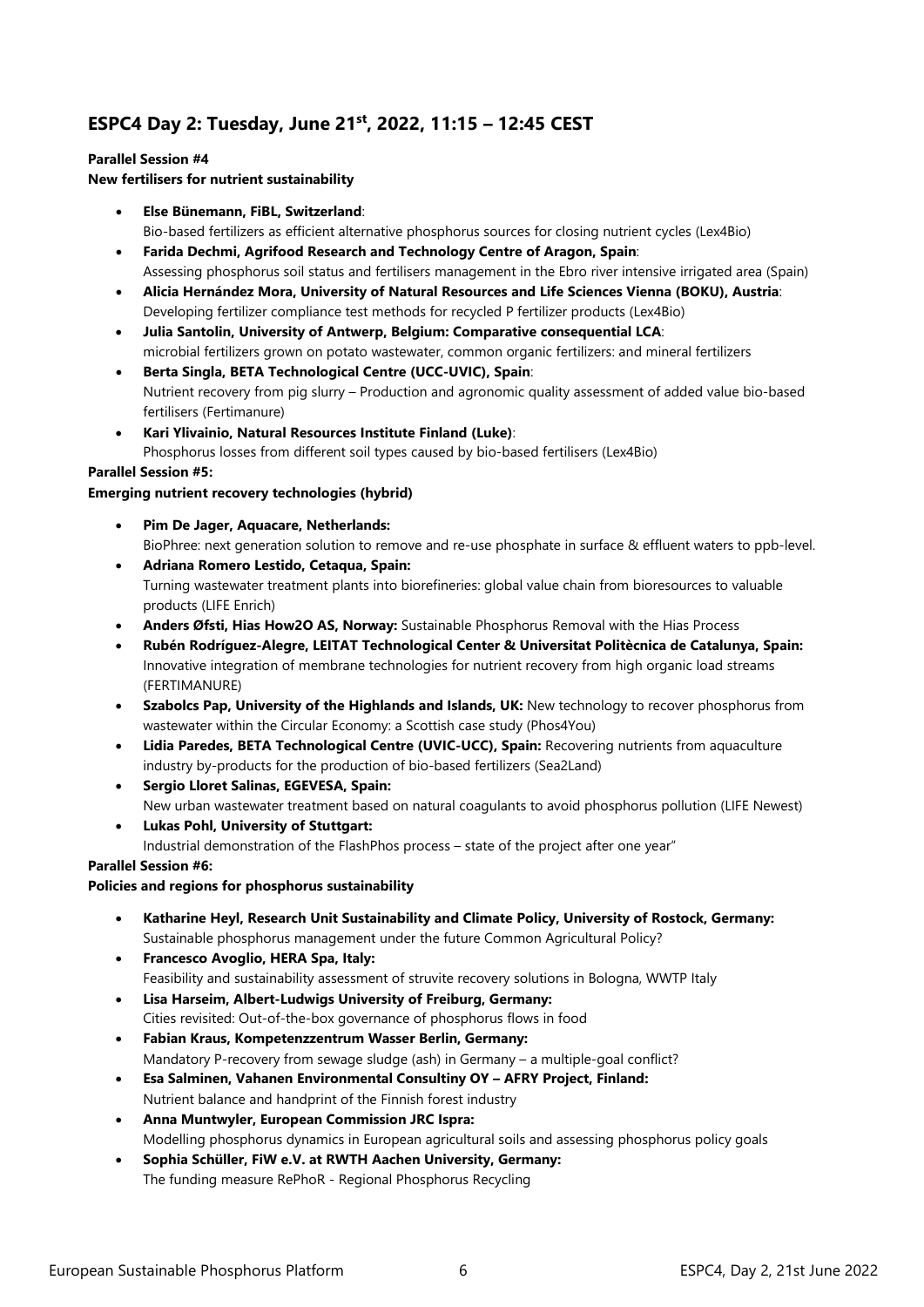# **ESPC4 Day 2: Tuesday, June 21st, 2022, 11:15 – 12:45 CEST**

#### **Parallel Session #4**

#### **New fertilisers for nutrient sustainability**

- **Else Bünemann, FiBL, Switzerland**:
	- Bio-based fertilizers as efficient alternative phosphorus sources for closing nutrient cycles (Lex4Bio)
- **Farida Dechmi, Agrifood Research and Technology Centre of Aragon, Spain**: Assessing phosphorus soil status and fertilisers management in the Ebro river intensive irrigated area (Spain)
- **Alicia Hernández Mora, University of Natural Resources and Life Sciences Vienna (BOKU), Austria**: Developing fertilizer compliance test methods for recycled P fertilizer products (Lex4Bio)
- **Julia Santolin, University of Antwerp, Belgium: Comparative consequential LCA**: microbial fertilizers grown on potato wastewater, common organic fertilizers: and mineral fertilizers
- **Berta Singla, BETA Technological Centre (UCC-UVIC), Spain**: Nutrient recovery from pig slurry – Production and agronomic quality assessment of added value bio-based fertilisers (Fertimanure)
- **Kari Ylivainio, Natural Resources Institute Finland (Luke)**: Phosphorus losses from different soil types caused by bio-based fertilisers (Lex4Bio)

#### **Parallel Session #5:**

#### **Emerging nutrient recovery technologies (hybrid)**

- **Pim De Jager, Aquacare, Netherlands:**  BioPhree: next generation solution to remove and re-use phosphate in surface & effluent waters to ppb-level. • **Adriana Romero Lestido, Cetaqua, Spain:**
- Turning wastewater treatment plants into biorefineries: global value chain from bioresources to valuable products (LIFE Enrich)
- **Anders Øfsti, Hias How2O AS, Norway:** Sustainable Phosphorus Removal with the Hias Process
- **Rubén Rodríguez-Alegre, LEITAT Technological Center & Universitat Politècnica de Catalunya, Spain:**  Innovative integration of membrane technologies for nutrient recovery from high organic load streams (FERTIMANURE)
- **Szabolcs Pap, University of the Highlands and Islands, UK:** New technology to recover phosphorus from wastewater within the Circular Economy: a Scottish case study (Phos4You)
- **Lidia Paredes, BETA Technological Centre (UVIC-UCC), Spain:** Recovering nutrients from aquaculture industry by-products for the production of bio-based fertilizers (Sea2Land)
- **Sergio Lloret Salinas, EGEVESA, Spain:**  New urban wastewater treatment based on natural coagulants to avoid phosphorus pollution (LIFE Newest)
- **Lukas Pohl, University of Stuttgart:**

Industrial demonstration of the FlashPhos process – state of the project after one year"

#### **Parallel Session #6:**

#### **Policies and regions for phosphorus sustainability**

• **Katharine Heyl, Research Unit Sustainability and Climate Policy, University of Rostock, Germany:** 

Sustainable phosphorus management under the future Common Agricultural Policy?

- **Francesco Avoglio, HERA Spa, Italy:**  Feasibility and sustainability assessment of struvite recovery solutions in Bologna, WWTP Italy
- **Lisa Harseim, Albert-Ludwigs University of Freiburg, Germany:**  Cities revisited: Out-of-the-box governance of phosphorus flows in food
- **Fabian Kraus, Kompetenzzentrum Wasser Berlin, Germany:**  Mandatory P-recovery from sewage sludge (ash) in Germany – a multiple-goal conflict?
- **Esa Salminen, Vahanen Environmental Consultiny OY – AFRY Project, Finland:**
- Nutrient balance and handprint of the Finnish forest industry • **Anna Muntwyler, European Commission JRC Ispra:**
- Modelling phosphorus dynamics in European agricultural soils and assessing phosphorus policy goals
- **Sophia Schüller, FiW e.V. at RWTH Aachen University, Germany:**  The funding measure RePhoR - Regional Phosphorus Recycling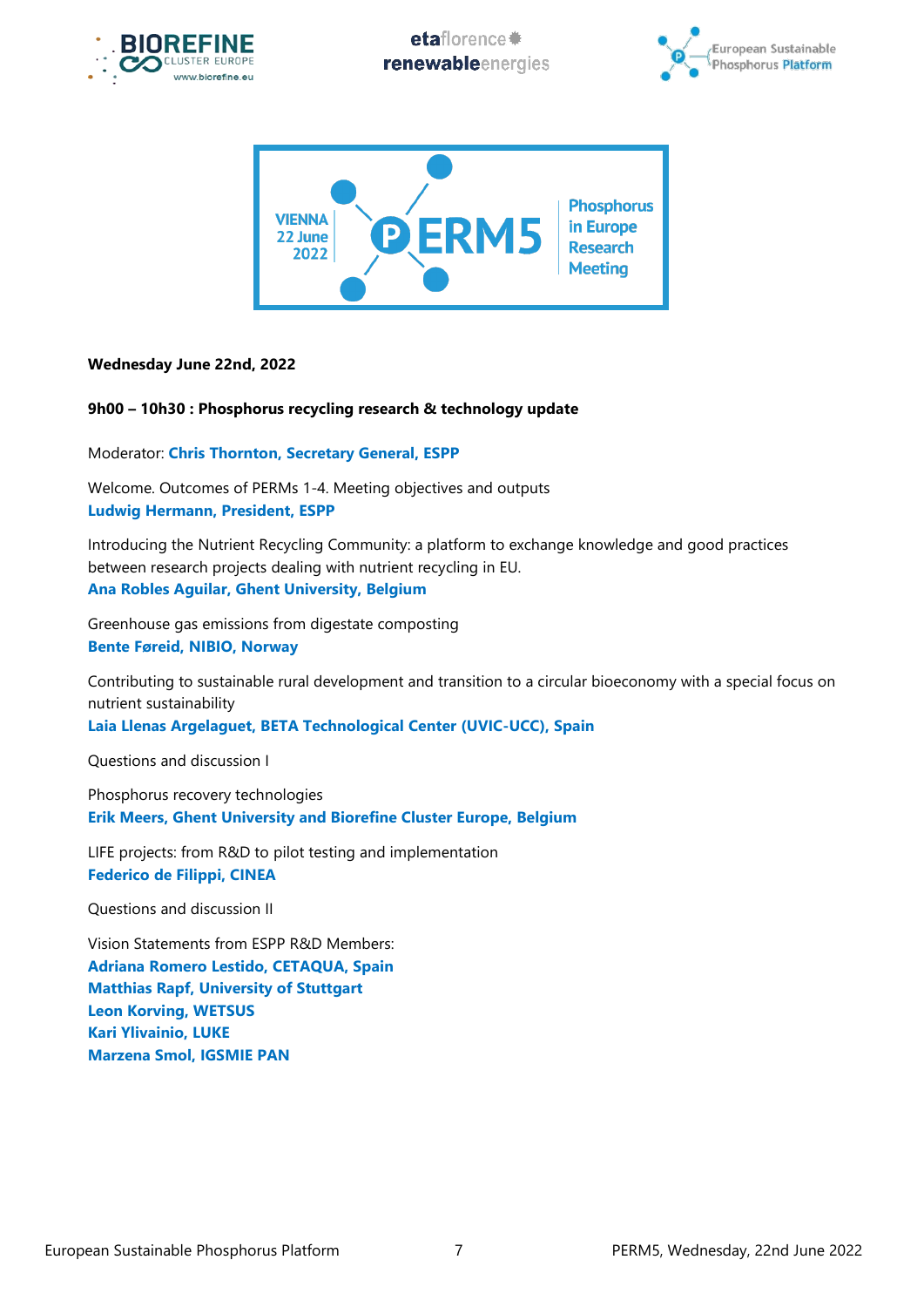

etaflorence# renewableenergies





## **Wednesday June 22nd, 2022**

## **9h00 – 10h30 : Phosphorus recycling research & technology update**

Moderator: **Chris Thornton, Secretary General, ESPP**

Welcome. Outcomes of PERMs 1-4. Meeting objectives and outputs **Ludwig Hermann, President, ESPP**

Introducing the Nutrient Recycling Community: a platform to exchange knowledge and good practices between research projects dealing with nutrient recycling in EU. **Ana Robles Aguilar, Ghent University, Belgium**

Greenhouse gas emissions from digestate composting **Bente Føreid, NIBIO, Norway**

Contributing to sustainable rural development and transition to a circular bioeconomy with a special focus on nutrient sustainability

**Laia Llenas Argelaguet, BETA Technological Center (UVIC-UCC), Spain**

Questions and discussion I

Phosphorus recovery technologies **Erik Meers, Ghent University and Biorefine Cluster Europe, Belgium**

LIFE projects: from R&D to pilot testing and implementation **Federico de Filippi, CINEA**

Questions and discussion II

Vision Statements from ESPP R&D Members: **Adriana Romero Lestido, CETAQUA, Spain Matthias Rapf, University of Stuttgart Leon Korving, WETSUS Kari Ylivainio, LUKE Marzena Smol, IGSMIE PAN**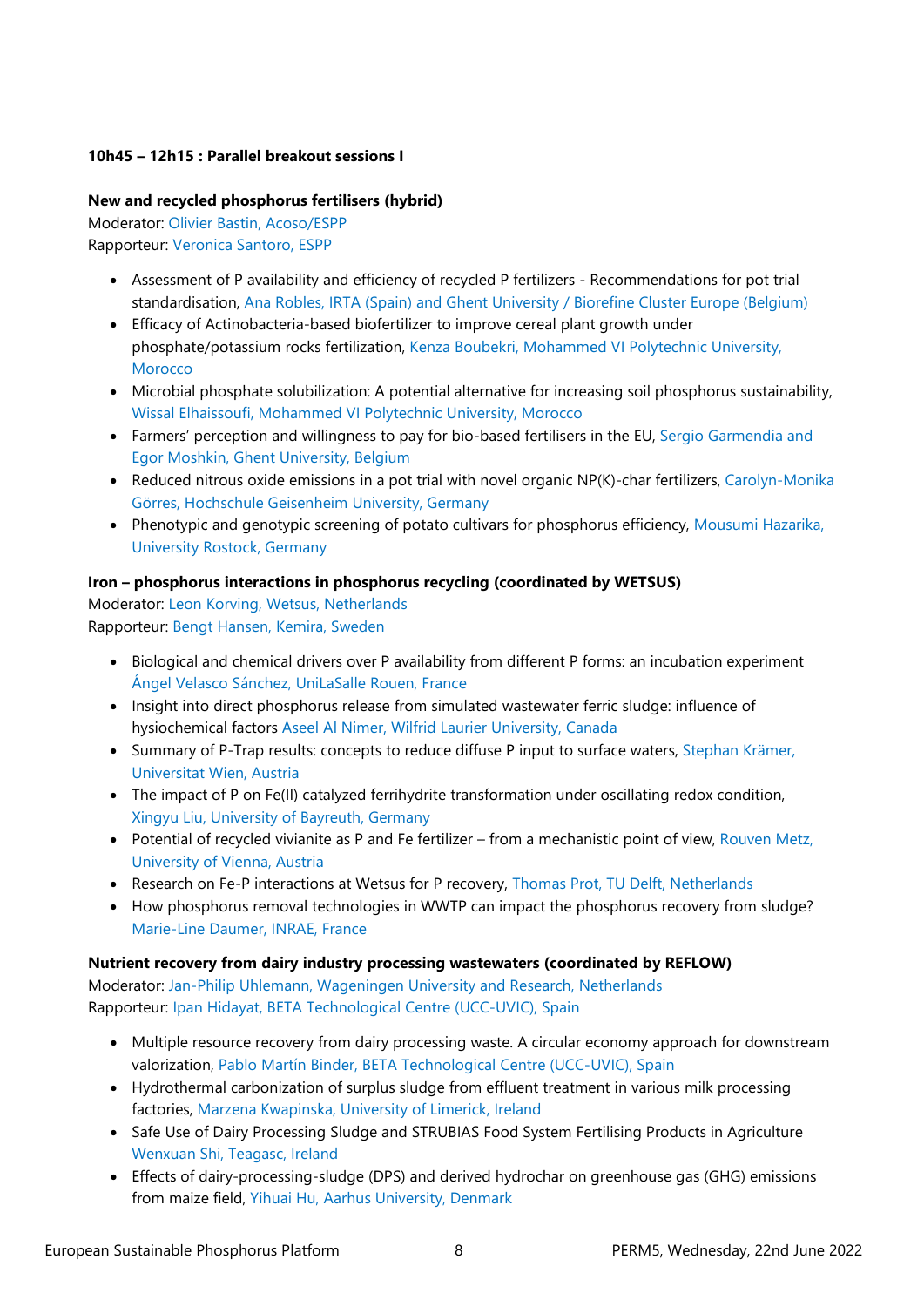## **10h45 – 12h15 : Parallel breakout sessions I**

## **New and recycled phosphorus fertilisers (hybrid)**

Moderator: Olivier Bastin, Acoso/ESPP Rapporteur: Veronica Santoro, ESPP

- Assessment of P availability and efficiency of recycled P fertilizers Recommendations for pot trial standardisation, Ana Robles, IRTA (Spain) and Ghent University / Biorefine Cluster Europe (Belgium)
- Efficacy of Actinobacteria-based biofertilizer to improve cereal plant growth under phosphate/potassium rocks fertilization, Kenza Boubekri, Mohammed VI Polytechnic University, **Morocco**
- Microbial phosphate solubilization: A potential alternative for increasing soil phosphorus sustainability, Wissal Elhaissoufi, Mohammed VI Polytechnic University, Morocco
- Farmers' perception and willingness to pay for bio-based fertilisers in the EU, Sergio Garmendia and Egor Moshkin, Ghent University, Belgium
- Reduced nitrous oxide emissions in a pot trial with novel organic NP(K)-char fertilizers, Carolyn-Monika Görres, Hochschule Geisenheim University, Germany
- Phenotypic and genotypic screening of potato cultivars for phosphorus efficiency, Mousumi Hazarika, University Rostock, Germany

## **Iron – phosphorus interactions in phosphorus recycling (coordinated by WETSUS)**

Moderator: Leon Korving, Wetsus, Netherlands Rapporteur: Bengt Hansen, Kemira, Sweden

- Biological and chemical drivers over P availability from different P forms: an incubation experiment Ángel Velasco Sánchez, UniLaSalle Rouen, France
- Insight into direct phosphorus release from simulated wastewater ferric sludge: influence of hysiochemical factors Aseel Al Nimer, Wilfrid Laurier University, Canada
- Summary of P-Trap results: concepts to reduce diffuse P input to surface waters, Stephan Krämer, Universitat Wien, Austria
- The impact of P on Fe(II) catalyzed ferrihydrite transformation under oscillating redox condition, Xingyu Liu, University of Bayreuth, Germany
- Potential of recycled vivianite as P and Fe fertilizer from a mechanistic point of view, Rouven Metz, University of Vienna, Austria
- Research on Fe-P interactions at Wetsus for P recovery, Thomas Prot, TU Delft, Netherlands
- How phosphorus removal technologies in WWTP can impact the phosphorus recovery from sludge? Marie-Line Daumer, INRAE, France

#### **Nutrient recovery from dairy industry processing wastewaters (coordinated by REFLOW)**

Moderator: Jan-Philip Uhlemann, Wageningen University and Research, Netherlands Rapporteur: Ipan Hidayat, BETA Technological Centre (UCC-UVIC), Spain

- Multiple resource recovery from dairy processing waste. A circular economy approach for downstream valorization, Pablo Martín Binder, BETA Technological Centre (UCC-UVIC), Spain
- Hydrothermal carbonization of surplus sludge from effluent treatment in various milk processing factories, Marzena Kwapinska, University of Limerick, Ireland
- Safe Use of Dairy Processing Sludge and STRUBIAS Food System Fertilising Products in Agriculture Wenxuan Shi, Teagasc, Ireland
- Effects of dairy-processing-sludge (DPS) and derived hydrochar on greenhouse gas (GHG) emissions from maize field, Yihuai Hu, Aarhus University, Denmark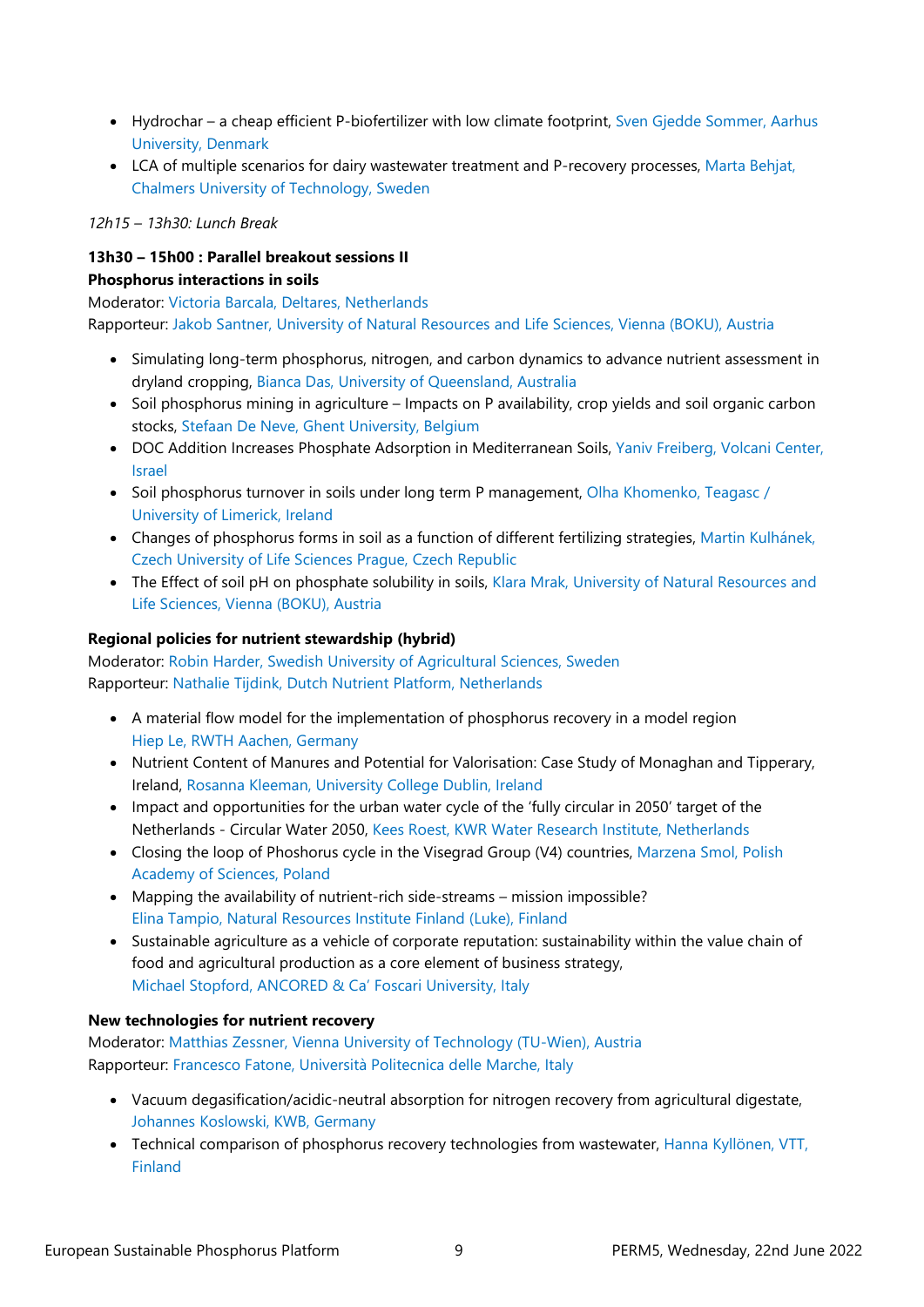- Hydrochar a cheap efficient P-biofertilizer with low climate footprint, Sven Gjedde Sommer, Aarhus University, Denmark
- LCA of multiple scenarios for dairy wastewater treatment and P-recovery processes, Marta Behjat, Chalmers University of Technology, Sweden

### *12h15 – 13h30: Lunch Break*

## **13h30 – 15h00 : Parallel breakout sessions II Phosphorus interactions in soils**

Moderator: Victoria Barcala, Deltares, Netherlands Rapporteur: Jakob Santner, University of Natural Resources and Life Sciences, Vienna (BOKU), Austria

- Simulating long-term phosphorus, nitrogen, and carbon dynamics to advance nutrient assessment in dryland cropping, Bianca Das, University of Queensland, Australia
- Soil phosphorus mining in agriculture Impacts on P availability, crop yields and soil organic carbon stocks, Stefaan De Neve, Ghent University, Belgium
- DOC Addition Increases Phosphate Adsorption in Mediterranean Soils, Yaniv Freiberg, Volcani Center, Israel
- Soil phosphorus turnover in soils under long term P management, Olha Khomenko, Teagasc / University of Limerick, Ireland
- Changes of phosphorus forms in soil as a function of different fertilizing strategies, Martin Kulhánek, Czech University of Life Sciences Prague, Czech Republic
- The Effect of soil pH on phosphate solubility in soils, Klara Mrak, University of Natural Resources and Life Sciences, Vienna (BOKU), Austria

## **Regional policies for nutrient stewardship (hybrid)**

Moderator: Robin Harder, Swedish University of Agricultural Sciences, Sweden Rapporteur: Nathalie Tijdink, Dutch Nutrient Platform, Netherlands

- A material flow model for the implementation of phosphorus recovery in a model region Hiep Le, RWTH Aachen, Germany
- Nutrient Content of Manures and Potential for Valorisation: Case Study of Monaghan and Tipperary, Ireland, Rosanna Kleeman, University College Dublin, Ireland
- Impact and opportunities for the urban water cycle of the 'fully circular in 2050' target of the Netherlands - Circular Water 2050, Kees Roest, KWR Water Research Institute, Netherlands
- Closing the loop of Phoshorus cycle in the Visegrad Group (V4) countries, Marzena Smol, Polish Academy of Sciences, Poland
- Mapping the availability of nutrient-rich side-streams mission impossible? Elina Tampio, Natural Resources Institute Finland (Luke), Finland
- Sustainable agriculture as a vehicle of corporate reputation: sustainability within the value chain of food and agricultural production as a core element of business strategy, Michael Stopford, ANCORED & Ca' Foscari University, Italy

#### **New technologies for nutrient recovery**

Moderator: Matthias Zessner, Vienna University of Technology (TU-Wien), Austria Rapporteur: Francesco Fatone, Università Politecnica delle Marche, Italy

- Vacuum degasification/acidic-neutral absorption for nitrogen recovery from agricultural digestate, Johannes Koslowski, KWB, Germany
- Technical comparison of phosphorus recovery technologies from wastewater, Hanna Kyllönen, VTT, Finland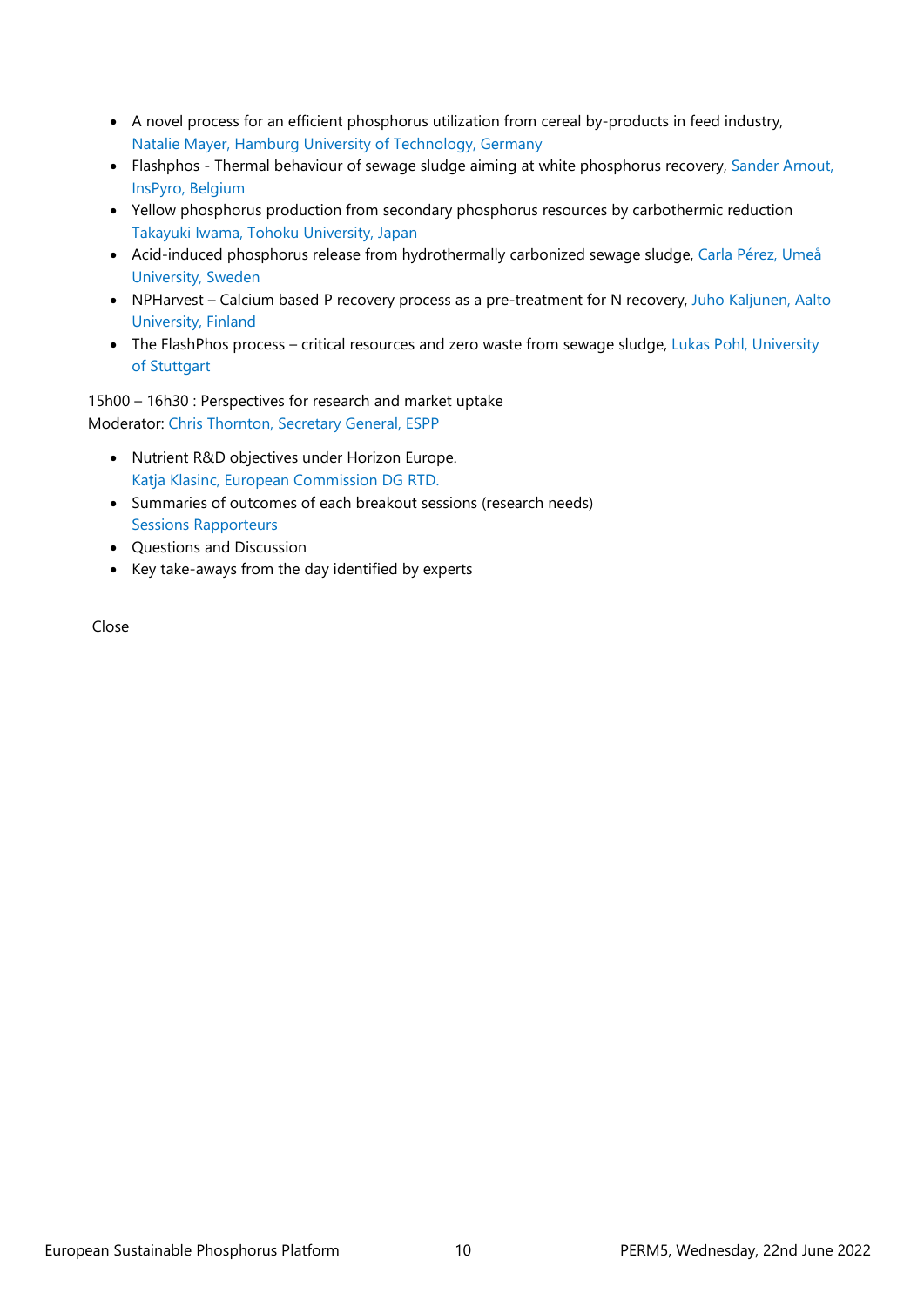- A novel process for an efficient phosphorus utilization from cereal by-products in feed industry, Natalie Mayer, Hamburg University of Technology, Germany
- Flashphos Thermal behaviour of sewage sludge aiming at white phosphorus recovery, Sander Arnout, InsPyro, Belgium
- Yellow phosphorus production from secondary phosphorus resources by carbothermic reduction Takayuki Iwama, Tohoku University, Japan
- Acid-induced phosphorus release from hydrothermally carbonized sewage sludge, Carla Pérez, Umeå University, Sweden
- NPHarvest Calcium based P recovery process as a pre-treatment for N recovery, Juho Kaljunen, Aalto University, Finland
- The FlashPhos process critical resources and zero waste from sewage sludge, Lukas Pohl, University of Stuttgart

15h00 – 16h30 : Perspectives for research and market uptake Moderator: Chris Thornton, Secretary General, ESPP

- Nutrient R&D objectives under Horizon Europe. Katja Klasinc, European Commission DG RTD.
- Summaries of outcomes of each breakout sessions (research needs) Sessions Rapporteurs
- Questions and Discussion
- Key take-aways from the day identified by experts

Close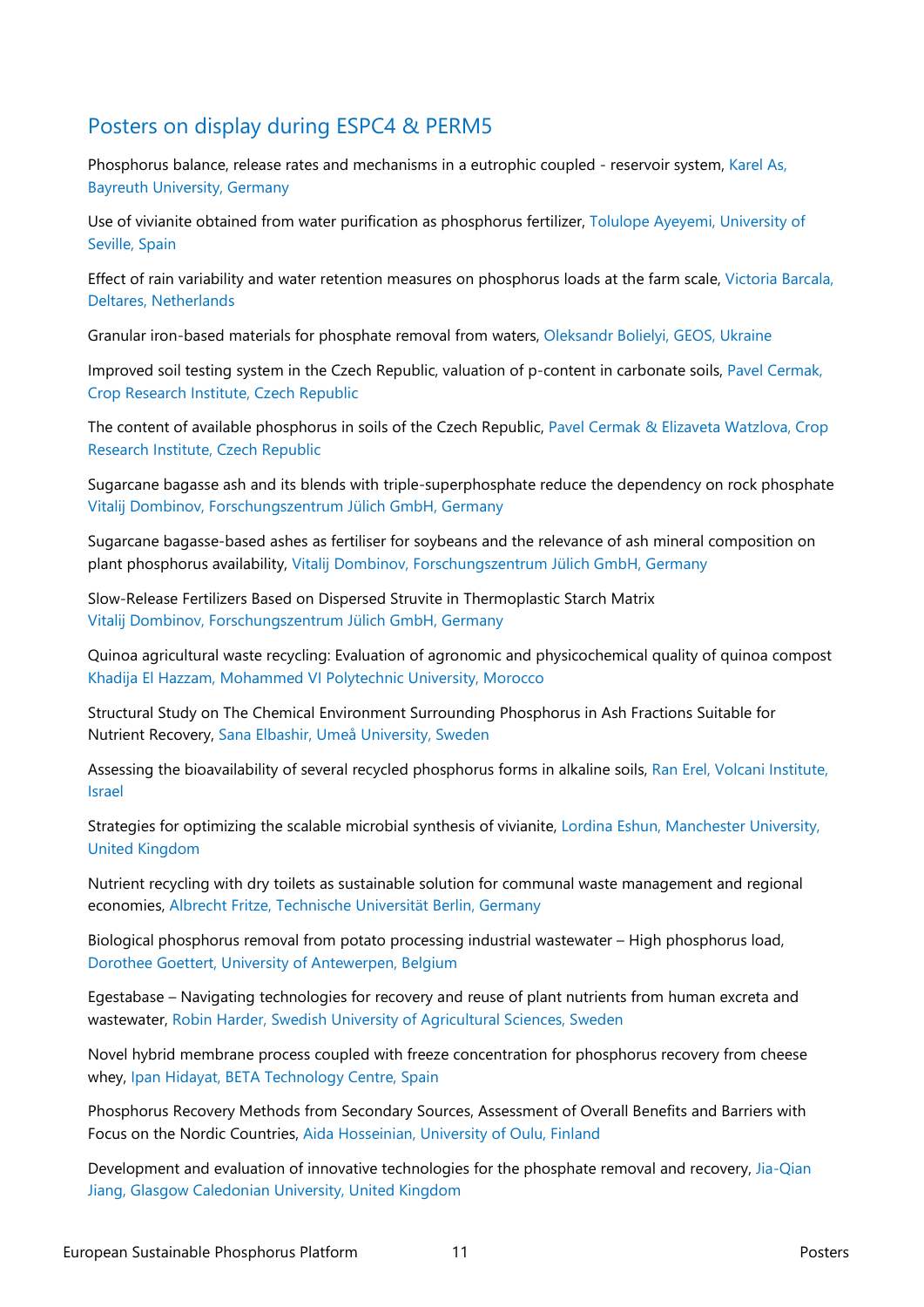# Posters on display during ESPC4 & PERM5

Phosphorus balance, release rates and mechanisms in a eutrophic coupled - reservoir system, Karel As, Bayreuth University, Germany

Use of vivianite obtained from water purification as phosphorus fertilizer, Tolulope Ayeyemi, University of Seville, Spain

Effect of rain variability and water retention measures on phosphorus loads at the farm scale, Victoria Barcala, Deltares, Netherlands

Granular iron-based materials for phosphate removal from waters, Oleksandr Bolielyi, GEOS, Ukraine

Improved soil testing system in the Czech Republic, valuation of p-content in carbonate soils, Pavel Cermak, Crop Research Institute, Czech Republic

The content of available phosphorus in soils of the Czech Republic, Pavel Cermak & Elizaveta Watzlova, Crop Research Institute, Czech Republic

Sugarcane bagasse ash and its blends with triple-superphosphate reduce the dependency on rock phosphate Vitalij Dombinov, Forschungszentrum Jülich GmbH, Germany

Sugarcane bagasse-based ashes as fertiliser for soybeans and the relevance of ash mineral composition on plant phosphorus availability, Vitalij Dombinov, Forschungszentrum Jülich GmbH, Germany

Slow-Release Fertilizers Based on Dispersed Struvite in Thermoplastic Starch Matrix Vitalij Dombinov, Forschungszentrum Jülich GmbH, Germany

Quinoa agricultural waste recycling: Evaluation of agronomic and physicochemical quality of quinoa compost Khadija El Hazzam, Mohammed VI Polytechnic University, Morocco

Structural Study on The Chemical Environment Surrounding Phosphorus in Ash Fractions Suitable for Nutrient Recovery, Sana Elbashir, Umeå University, Sweden

Assessing the bioavailability of several recycled phosphorus forms in alkaline soils, Ran Erel, Volcani Institute, Israel

Strategies for optimizing the scalable microbial synthesis of vivianite, Lordina Eshun, Manchester University, United Kingdom

Nutrient recycling with dry toilets as sustainable solution for communal waste management and regional economies, Albrecht Fritze, Technische Universität Berlin, Germany

Biological phosphorus removal from potato processing industrial wastewater – High phosphorus load, Dorothee Goettert, University of Antewerpen, Belgium

Egestabase – Navigating technologies for recovery and reuse of plant nutrients from human excreta and wastewater, Robin Harder, Swedish University of Agricultural Sciences, Sweden

Novel hybrid membrane process coupled with freeze concentration for phosphorus recovery from cheese whey, Ipan Hidayat, BETA Technology Centre, Spain

Phosphorus Recovery Methods from Secondary Sources, Assessment of Overall Benefits and Barriers with Focus on the Nordic Countries, Aida Hosseinian, University of Oulu, Finland

Development and evaluation of innovative technologies for the phosphate removal and recovery, Jia-Qian Jiang, Glasgow Caledonian University, United Kingdom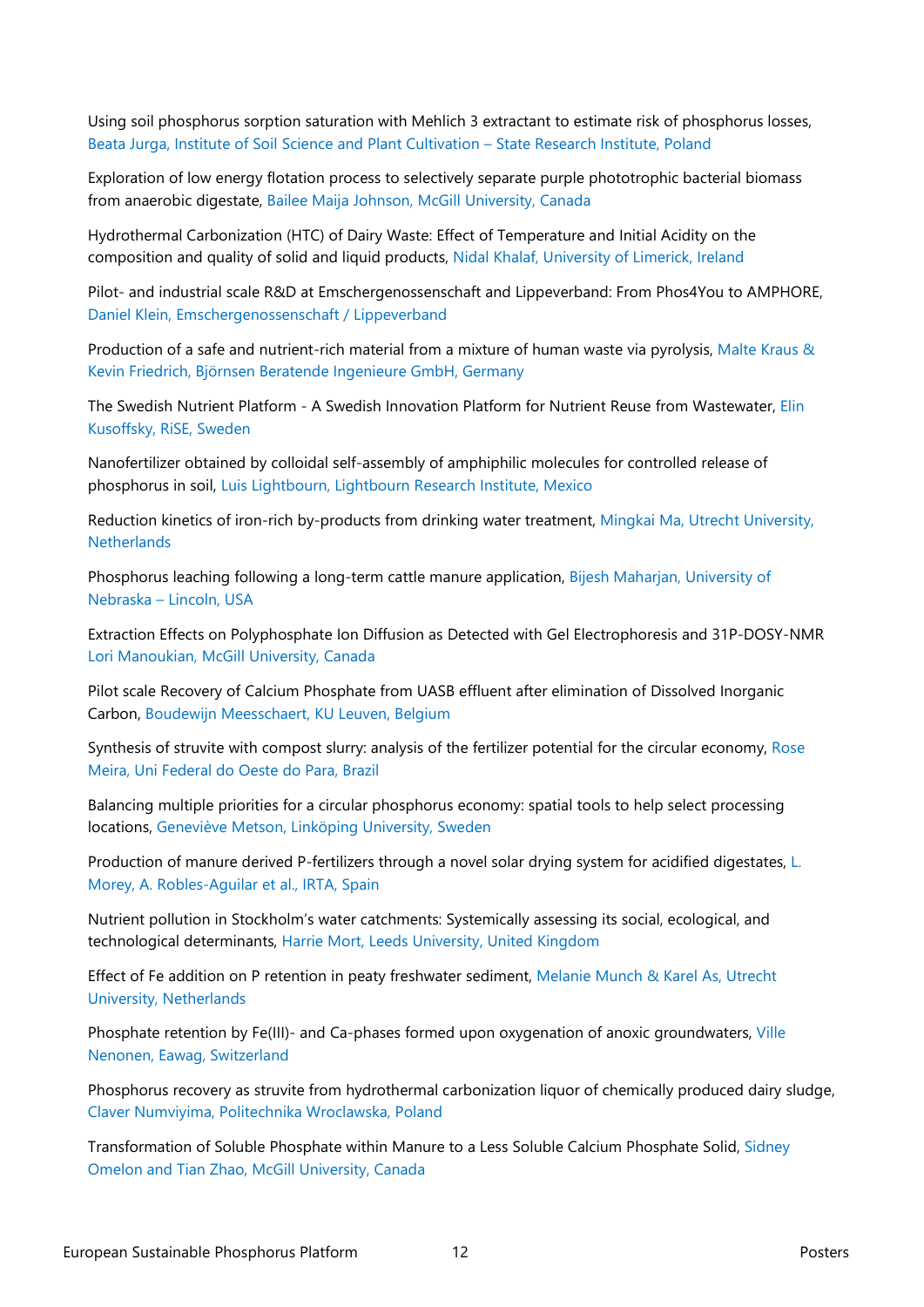Using soil phosphorus sorption saturation with Mehlich 3 extractant to estimate risk of phosphorus losses, Beata Jurga, Institute of Soil Science and Plant Cultivation – State Research Institute, Poland

Exploration of low energy flotation process to selectively separate purple phototrophic bacterial biomass from anaerobic digestate, Bailee Maija Johnson, McGill University, Canada

Hydrothermal Carbonization (HTC) of Dairy Waste: Effect of Temperature and Initial Acidity on the composition and quality of solid and liquid products, Nidal Khalaf, University of Limerick, Ireland

Pilot- and industrial scale R&D at Emschergenossenschaft and Lippeverband: From Phos4You to AMPHORE, Daniel Klein, Emschergenossenschaft / Lippeverband

Production of a safe and nutrient-rich material from a mixture of human waste via pyrolysis, Malte Kraus & Kevin Friedrich, Björnsen Beratende Ingenieure GmbH, Germany

The Swedish Nutrient Platform - A Swedish Innovation Platform for Nutrient Reuse from Wastewater, Elin Kusoffsky, RiSE, Sweden

Nanofertilizer obtained by colloidal self-assembly of amphiphilic molecules for controlled release of phosphorus in soil, Luis Lightbourn, Lightbourn Research Institute, Mexico

Reduction kinetics of iron-rich by-products from drinking water treatment, Mingkai Ma, Utrecht University, **Netherlands** 

Phosphorus leaching following a long-term cattle manure application, Bijesh Maharjan, University of Nebraska – Lincoln, USA

Extraction Effects on Polyphosphate Ion Diffusion as Detected with Gel Electrophoresis and 31P-DOSY-NMR Lori Manoukian, McGill University, Canada

Pilot scale Recovery of Calcium Phosphate from UASB effluent after elimination of Dissolved Inorganic Carbon, Boudewijn Meesschaert, KU Leuven, Belgium

Synthesis of struvite with compost slurry: analysis of the fertilizer potential for the circular economy, Rose Meira, Uni Federal do Oeste do Para, Brazil

Balancing multiple priorities for a circular phosphorus economy: spatial tools to help select processing locations, Geneviève Metson, Linköping University, Sweden

Production of manure derived P-fertilizers through a novel solar drying system for acidified digestates, L. Morey, A. Robles-Aguilar et al., IRTA, Spain

Nutrient pollution in Stockholm's water catchments: Systemically assessing its social, ecological, and technological determinants, Harrie Mort, Leeds University, United Kingdom

Effect of Fe addition on P retention in peaty freshwater sediment, Melanie Munch & Karel As, Utrecht University, Netherlands

Phosphate retention by Fe(III)- and Ca-phases formed upon oxygenation of anoxic groundwaters, Ville Nenonen, Eawag, Switzerland

Phosphorus recovery as struvite from hydrothermal carbonization liquor of chemically produced dairy sludge, Claver Numviyima, Politechnika Wroclawska, Poland

Transformation of Soluble Phosphate within Manure to a Less Soluble Calcium Phosphate Solid, Sidney Omelon and Tian Zhao, McGill University, Canada